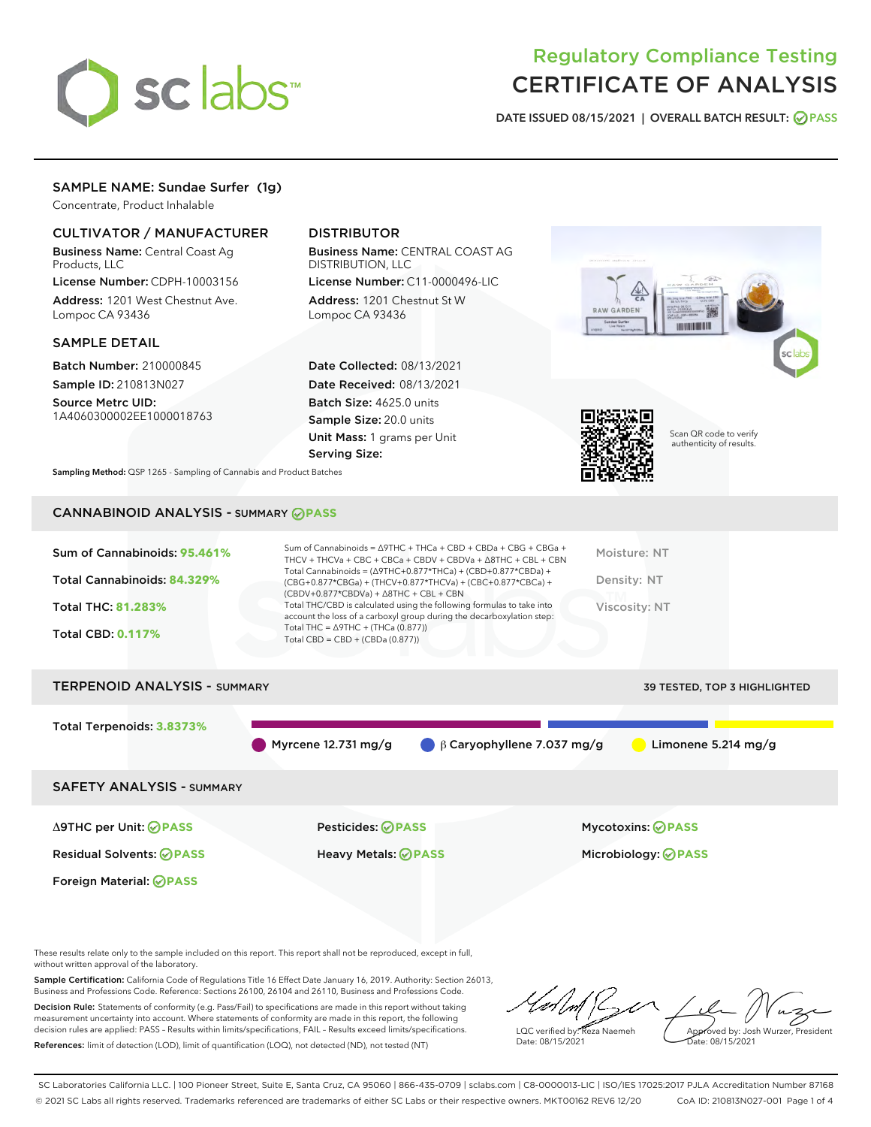

## Regulatory Compliance Testing CERTIFICATE OF ANALYSIS

DATE ISSUED 08/15/2021 | OVERALL BATCH RESULT: @ PASS

#### SAMPLE NAME: Sundae Surfer (1g)

Concentrate, Product Inhalable

#### CULTIVATOR / MANUFACTURER

Business Name: Central Coast Ag Products, LLC

License Number: CDPH-10003156 Address: 1201 West Chestnut Ave. Lompoc CA 93436

#### SAMPLE DETAIL

Batch Number: 210000845 Sample ID: 210813N027

Source Metrc UID: 1A4060300002EE1000018763

#### DISTRIBUTOR

Business Name: CENTRAL COAST AG DISTRIBUTION, LLC

License Number: C11-0000496-LIC Address: 1201 Chestnut St W Lompoc CA 93436

Date Collected: 08/13/2021 Date Received: 08/13/2021 Batch Size: 4625.0 units Sample Size: 20.0 units Unit Mass: 1 grams per Unit Serving Size:





Scan QR code to verify authenticity of results.

Sampling Method: QSP 1265 - Sampling of Cannabis and Product Batches

### CANNABINOID ANALYSIS - SUMMARY **PASS**

| Sum of Cannabinoids: 95.461% | Sum of Cannabinoids = $\triangle$ 9THC + THCa + CBD + CBDa + CBG + CBGa +<br>THCV + THCVa + CBC + CBCa + CBDV + CBDVa + $\Delta$ 8THC + CBL + CBN                                    | Moisture: NT  |
|------------------------------|--------------------------------------------------------------------------------------------------------------------------------------------------------------------------------------|---------------|
| Total Cannabinoids: 84.329%  | Total Cannabinoids = $(\Delta$ 9THC+0.877*THCa) + (CBD+0.877*CBDa) +<br>(CBG+0.877*CBGa) + (THCV+0.877*THCVa) + (CBC+0.877*CBCa) +<br>$(CBDV+0.877*CBDVa) + \Delta 8THC + CBL + CBN$ | Density: NT   |
| <b>Total THC: 81.283%</b>    | Total THC/CBD is calculated using the following formulas to take into<br>account the loss of a carboxyl group during the decarboxylation step:                                       | Viscosity: NT |
| <b>Total CBD: 0.117%</b>     | Total THC = $\triangle$ 9THC + (THCa (0.877))<br>Total CBD = $CBD + (CBDa (0.877))$                                                                                                  |               |
|                              |                                                                                                                                                                                      |               |

# TERPENOID ANALYSIS - SUMMARY 39 TESTED, TOP 3 HIGHLIGHTED Total Terpenoids: **3.8373%** Myrcene 12.731 mg/g  $\qquad \qquad \qquad \qquad \qquad \qquad \qquad \qquad \qquad \qquad$  Limonene 5.214 mg/g SAFETY ANALYSIS - SUMMARY

Foreign Material: **PASS**

Δ9THC per Unit: **PASS** Pesticides: **PASS** Mycotoxins: **PASS**

Residual Solvents: **PASS** Heavy Metals: **PASS** Microbiology: **PASS**

These results relate only to the sample included on this report. This report shall not be reproduced, except in full, without written approval of the laboratory.

Sample Certification: California Code of Regulations Title 16 Effect Date January 16, 2019. Authority: Section 26013, Business and Professions Code. Reference: Sections 26100, 26104 and 26110, Business and Professions Code. Decision Rule: Statements of conformity (e.g. Pass/Fail) to specifications are made in this report without taking measurement uncertainty into account. Where statements of conformity are made in this report, the following decision rules are applied: PASS – Results within limits/specifications, FAIL – Results exceed limits/specifications.

References: limit of detection (LOD), limit of quantification (LOQ), not detected (ND), not tested (NT)

LQC verified by: Reza Naemeh Date: 08/15/2021 Approved by: Josh Wurzer, President Date: 08/15/2021

SC Laboratories California LLC. | 100 Pioneer Street, Suite E, Santa Cruz, CA 95060 | 866-435-0709 | sclabs.com | C8-0000013-LIC | ISO/IES 17025:2017 PJLA Accreditation Number 87168 © 2021 SC Labs all rights reserved. Trademarks referenced are trademarks of either SC Labs or their respective owners. MKT00162 REV6 12/20 CoA ID: 210813N027-001 Page 1 of 4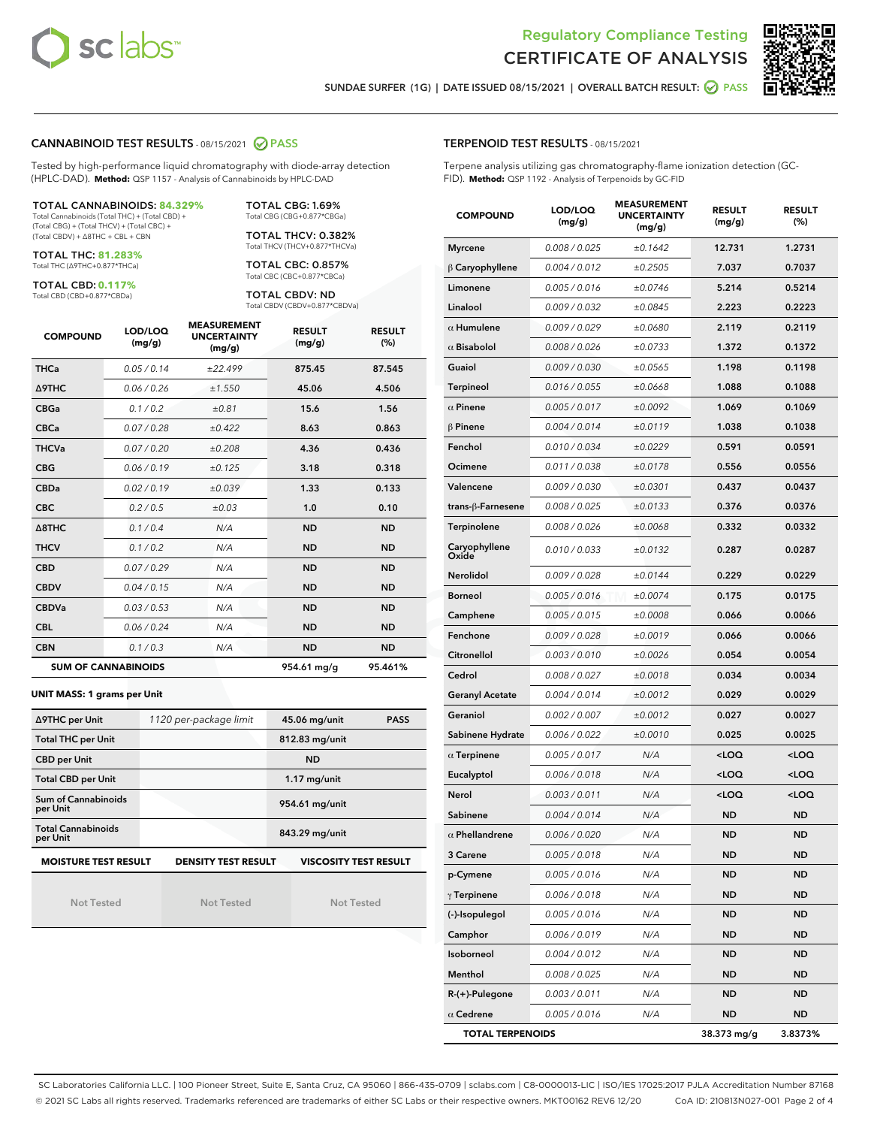



SUNDAE SURFER (1G) | DATE ISSUED 08/15/2021 | OVERALL BATCH RESULT: 2 PASS

#### CANNABINOID TEST RESULTS - 08/15/2021 2 PASS

Tested by high-performance liquid chromatography with diode-array detection (HPLC-DAD). **Method:** QSP 1157 - Analysis of Cannabinoids by HPLC-DAD

#### TOTAL CANNABINOIDS: **84.329%**

Total Cannabinoids (Total THC) + (Total CBD) + (Total CBG) + (Total THCV) + (Total CBC) + (Total CBDV) + ∆8THC + CBL + CBN

TOTAL THC: **81.283%** Total THC (∆9THC+0.877\*THCa)

TOTAL CBD: **0.117%**

Total CBD (CBD+0.877\*CBDa)

TOTAL CBG: 1.69% Total CBG (CBG+0.877\*CBGa)

TOTAL THCV: 0.382% Total THCV (THCV+0.877\*THCVa)

TOTAL CBC: 0.857% Total CBC (CBC+0.877\*CBCa)

TOTAL CBDV: ND Total CBDV (CBDV+0.877\*CBDVa)

| <b>COMPOUND</b>  | LOD/LOQ<br>(mg/g)          | <b>MEASUREMENT</b><br><b>UNCERTAINTY</b><br>(mg/g) | <b>RESULT</b><br>(mg/g) | <b>RESULT</b><br>(%) |
|------------------|----------------------------|----------------------------------------------------|-------------------------|----------------------|
| <b>THCa</b>      | 0.05/0.14                  | ±22.499                                            | 875.45                  | 87.545               |
| <b>A9THC</b>     | 0.06 / 0.26                | ±1.550                                             | 45.06                   | 4.506                |
| <b>CBGa</b>      | 0.1 / 0.2                  | ±0.81                                              | 15.6                    | 1.56                 |
| <b>CBCa</b>      | 0.07/0.28                  | ±0.422                                             | 8.63                    | 0.863                |
| <b>THCVa</b>     | 0.07/0.20                  | ±0.208                                             | 4.36                    | 0.436                |
| <b>CBG</b>       | 0.06/0.19                  | ±0.125                                             | 3.18                    | 0.318                |
| <b>CBDa</b>      | 0.02/0.19                  | ±0.039                                             | 1.33                    | 0.133                |
| <b>CBC</b>       | 0.2 / 0.5                  | ±0.03                                              | 1.0                     | 0.10                 |
| $\triangle$ 8THC | 0.1/0.4                    | N/A                                                | <b>ND</b>               | <b>ND</b>            |
| <b>THCV</b>      | 0.1/0.2                    | N/A                                                | <b>ND</b>               | <b>ND</b>            |
| <b>CBD</b>       | 0.07/0.29                  | N/A                                                | <b>ND</b>               | <b>ND</b>            |
| <b>CBDV</b>      | 0.04 / 0.15                | N/A                                                | <b>ND</b>               | <b>ND</b>            |
| <b>CBDVa</b>     | 0.03/0.53                  | N/A                                                | <b>ND</b>               | <b>ND</b>            |
| <b>CBL</b>       | 0.06 / 0.24                | N/A                                                | <b>ND</b>               | <b>ND</b>            |
| <b>CBN</b>       | 0.1/0.3                    | N/A                                                | <b>ND</b>               | <b>ND</b>            |
|                  | <b>SUM OF CANNABINOIDS</b> |                                                    | 954.61 mg/g             | 95.461%              |

#### **UNIT MASS: 1 grams per Unit**

| ∆9THC per Unit                                                                     | 1120 per-package limit | <b>PASS</b><br>45.06 mg/unit |  |  |
|------------------------------------------------------------------------------------|------------------------|------------------------------|--|--|
| <b>Total THC per Unit</b>                                                          |                        | 812.83 mg/unit               |  |  |
| <b>CBD per Unit</b>                                                                |                        | <b>ND</b>                    |  |  |
| <b>Total CBD per Unit</b>                                                          |                        | $1.17$ mg/unit               |  |  |
| Sum of Cannabinoids<br>per Unit                                                    |                        | 954.61 mg/unit               |  |  |
| <b>Total Cannabinoids</b><br>per Unit                                              |                        | 843.29 mg/unit               |  |  |
| <b>MOISTURE TEST RESULT</b><br>VISCOSITY TEST RESULT<br><b>DENSITY TEST RESULT</b> |                        |                              |  |  |

Not Tested

Not Tested

Not Tested

#### TERPENOID TEST RESULTS - 08/15/2021

Terpene analysis utilizing gas chromatography-flame ionization detection (GC-FID). **Method:** QSP 1192 - Analysis of Terpenoids by GC-FID

| <b>COMPOUND</b>         | LOD/LOQ<br>(mg/g) | <b>MEASUREMENT</b><br><b>UNCERTAINTY</b><br>(mg/g) | <b>RESULT</b><br>(mg/g)                         | <b>RESULT</b><br>$(\%)$ |
|-------------------------|-------------------|----------------------------------------------------|-------------------------------------------------|-------------------------|
| <b>Myrcene</b>          | 0.008 / 0.025     | ±0.1642                                            | 12.731                                          | 1.2731                  |
| $\beta$ Caryophyllene   | 0.004 / 0.012     | ±0.2505                                            | 7.037                                           | 0.7037                  |
| Limonene                | 0.005 / 0.016     | ±0.0746                                            | 5.214                                           | 0.5214                  |
| Linalool                | 0.009 / 0.032     | ±0.0845                                            | 2.223                                           | 0.2223                  |
| $\alpha$ Humulene       | 0.009 / 0.029     | ±0.0680                                            | 2.119                                           | 0.2119                  |
| $\alpha$ Bisabolol      | 0.008 / 0.026     | ±0.0733                                            | 1.372                                           | 0.1372                  |
| Guaiol                  | 0.009 / 0.030     | ±0.0565                                            | 1.198                                           | 0.1198                  |
| <b>Terpineol</b>        | 0.016 / 0.055     | ±0.0668                                            | 1.088                                           | 0.1088                  |
| $\alpha$ Pinene         | 0.005 / 0.017     | ±0.0092                                            | 1.069                                           | 0.1069                  |
| $\beta$ Pinene          | 0.004 / 0.014     | ±0.0119                                            | 1.038                                           | 0.1038                  |
| Fenchol                 | 0.010 / 0.034     | ±0.0229                                            | 0.591                                           | 0.0591                  |
| Ocimene                 | 0.011 / 0.038     | ±0.0178                                            | 0.556                                           | 0.0556                  |
| Valencene               | 0.009 / 0.030     | ±0.0301                                            | 0.437                                           | 0.0437                  |
| trans-β-Farnesene       | 0.008 / 0.025     | ±0.0133                                            | 0.376                                           | 0.0376                  |
| Terpinolene             | 0.008 / 0.026     | ±0.0068                                            | 0.332                                           | 0.0332                  |
| Caryophyllene<br>Oxide  | 0.010 / 0.033     | ±0.0132                                            | 0.287                                           | 0.0287                  |
| Nerolidol               | 0.009 / 0.028     | ±0.0144                                            | 0.229                                           | 0.0229                  |
| <b>Borneol</b>          | 0.005 / 0.016     | ±0.0074                                            | 0.175                                           | 0.0175                  |
| Camphene                | 0.005 / 0.015     | ±0.0008                                            | 0.066                                           | 0.0066                  |
| Fenchone                | 0.009 / 0.028     | ±0.0019                                            | 0.066                                           | 0.0066                  |
| Citronellol             | 0.003 / 0.010     | ±0.0026                                            | 0.054                                           | 0.0054                  |
| Cedrol                  | 0.008 / 0.027     | ±0.0018                                            | 0.034                                           | 0.0034                  |
| <b>Geranyl Acetate</b>  | 0.004 / 0.014     | ±0.0012                                            | 0.029                                           | 0.0029                  |
| Geraniol                | 0.002 / 0.007     | ±0.0012                                            | 0.027                                           | 0.0027                  |
| Sabinene Hydrate        | 0.006 / 0.022     | ±0.0010                                            | 0.025                                           | 0.0025                  |
| $\alpha$ Terpinene      | 0.005 / 0.017     | N/A                                                | <loq< th=""><th><loq< th=""></loq<></th></loq<> | <loq< th=""></loq<>     |
| Eucalyptol              | 0.006 / 0.018     | N/A                                                | <loq< th=""><th><loq< th=""></loq<></th></loq<> | <loq< th=""></loq<>     |
| Nerol                   | 0.003 / 0.011     | N/A                                                | <loq< th=""><th><loq< th=""></loq<></th></loq<> | <loq< th=""></loq<>     |
| Sabinene                | 0.004 / 0.014     | N/A                                                | ND                                              | <b>ND</b>               |
| $\alpha$ Phellandrene   | 0.006 / 0.020     | N/A                                                | <b>ND</b>                                       | <b>ND</b>               |
| 3 Carene                | 0.005 / 0.018     | N/A                                                | ND                                              | ND                      |
| p-Cymene                | 0.005 / 0.016     | N/A                                                | <b>ND</b>                                       | <b>ND</b>               |
| $\gamma$ Terpinene      | 0.006 / 0.018     | N/A                                                | ND                                              | <b>ND</b>               |
| (-)-Isopulegol          | 0.005 / 0.016     | N/A                                                | ND                                              | <b>ND</b>               |
| Camphor                 | 0.006 / 0.019     | N/A                                                | ND                                              | ND                      |
| Isoborneol              | 0.004 / 0.012     | N/A                                                | ND                                              | ND                      |
| Menthol                 | 0.008 / 0.025     | N/A                                                | ND                                              | <b>ND</b>               |
| R-(+)-Pulegone          | 0.003 / 0.011     | N/A                                                | ND                                              | <b>ND</b>               |
| $\alpha$ Cedrene        | 0.005 / 0.016     | N/A                                                | ND                                              | <b>ND</b>               |
| <b>TOTAL TERPENOIDS</b> |                   |                                                    | 38.373 mg/g                                     | 3.8373%                 |

SC Laboratories California LLC. | 100 Pioneer Street, Suite E, Santa Cruz, CA 95060 | 866-435-0709 | sclabs.com | C8-0000013-LIC | ISO/IES 17025:2017 PJLA Accreditation Number 87168 © 2021 SC Labs all rights reserved. Trademarks referenced are trademarks of either SC Labs or their respective owners. MKT00162 REV6 12/20 CoA ID: 210813N027-001 Page 2 of 4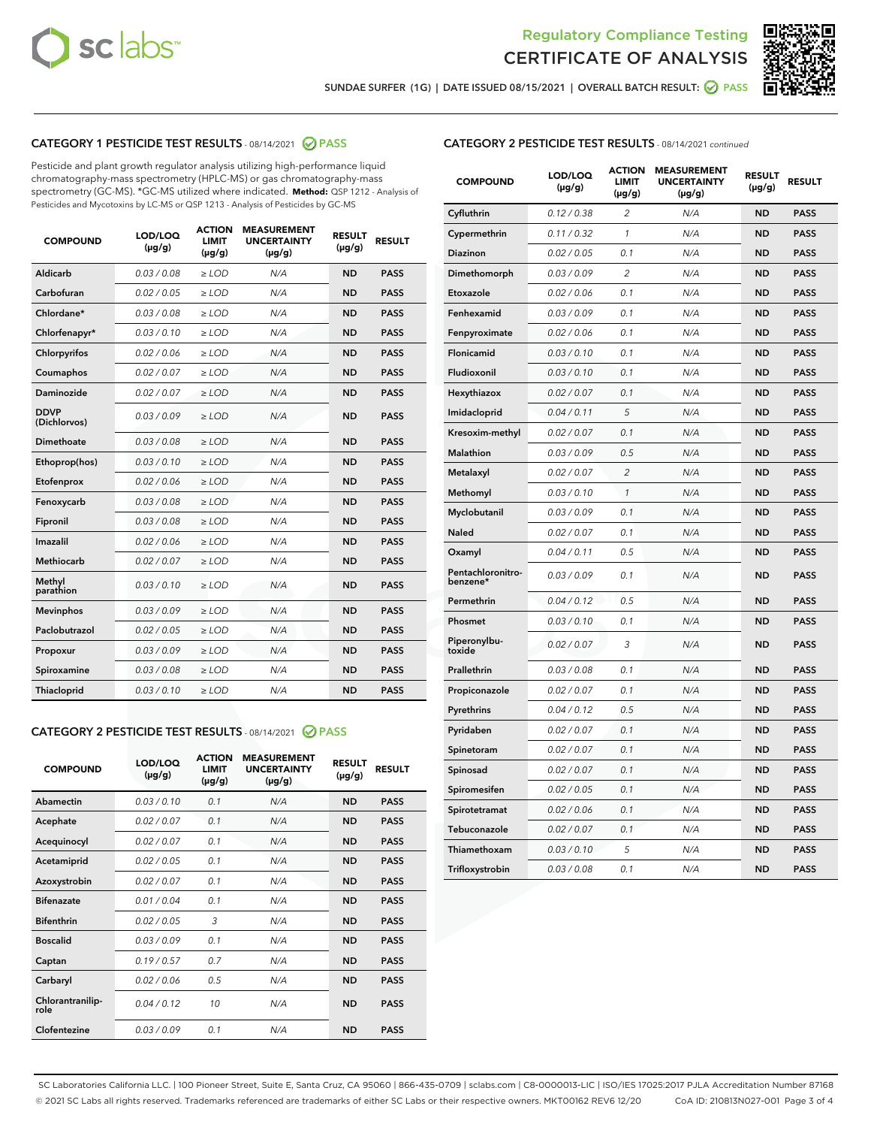



SUNDAE SURFER (1G) | DATE ISSUED 08/15/2021 | OVERALL BATCH RESULT: @ PASS

#### CATEGORY 1 PESTICIDE TEST RESULTS - 08/14/2021 2 PASS

Pesticide and plant growth regulator analysis utilizing high-performance liquid chromatography-mass spectrometry (HPLC-MS) or gas chromatography-mass spectrometry (GC-MS). \*GC-MS utilized where indicated. **Method:** QSP 1212 - Analysis of Pesticides and Mycotoxins by LC-MS or QSP 1213 - Analysis of Pesticides by GC-MS

| <b>COMPOUND</b>             | LOD/LOQ<br>$(\mu g/g)$ | <b>ACTION</b><br><b>LIMIT</b><br>$(\mu g/g)$ | <b>MEASUREMENT</b><br><b>UNCERTAINTY</b><br>$(\mu g/g)$ | <b>RESULT</b><br>$(\mu g/g)$ | <b>RESULT</b> |
|-----------------------------|------------------------|----------------------------------------------|---------------------------------------------------------|------------------------------|---------------|
| Aldicarb                    | 0.03/0.08              | $>$ LOD                                      | N/A                                                     | <b>ND</b>                    | <b>PASS</b>   |
| Carbofuran                  | 0.02 / 0.05            | $\ge$ LOD                                    | N/A                                                     | <b>ND</b>                    | <b>PASS</b>   |
| Chlordane*                  | 0.03/0.08              | $>$ LOD                                      | N/A                                                     | <b>ND</b>                    | <b>PASS</b>   |
| Chlorfenapyr*               | 0.03/0.10              | $\ge$ LOD                                    | N/A                                                     | <b>ND</b>                    | <b>PASS</b>   |
| Chlorpyrifos                | 0.02 / 0.06            | $\ge$ LOD                                    | N/A                                                     | <b>ND</b>                    | <b>PASS</b>   |
| Coumaphos                   | 0.02 / 0.07            | $\ge$ LOD                                    | N/A                                                     | <b>ND</b>                    | <b>PASS</b>   |
| Daminozide                  | 0.02 / 0.07            | $\ge$ LOD                                    | N/A                                                     | <b>ND</b>                    | <b>PASS</b>   |
| <b>DDVP</b><br>(Dichlorvos) | 0.03/0.09              | $\ge$ LOD                                    | N/A                                                     | <b>ND</b>                    | <b>PASS</b>   |
| <b>Dimethoate</b>           | 0.03/0.08              | $\ge$ LOD                                    | N/A                                                     | <b>ND</b>                    | <b>PASS</b>   |
| Ethoprop(hos)               | 0.03/0.10              | $\ge$ LOD                                    | N/A                                                     | <b>ND</b>                    | <b>PASS</b>   |
| Etofenprox                  | 0.02 / 0.06            | $\ge$ LOD                                    | N/A                                                     | <b>ND</b>                    | <b>PASS</b>   |
| Fenoxycarb                  | 0.03 / 0.08            | $\ge$ LOD                                    | N/A                                                     | <b>ND</b>                    | <b>PASS</b>   |
| Fipronil                    | 0.03/0.08              | $>$ LOD                                      | N/A                                                     | <b>ND</b>                    | <b>PASS</b>   |
| Imazalil                    | 0.02 / 0.06            | $\ge$ LOD                                    | N/A                                                     | <b>ND</b>                    | <b>PASS</b>   |
| Methiocarb                  | 0.02 / 0.07            | $\ge$ LOD                                    | N/A                                                     | <b>ND</b>                    | <b>PASS</b>   |
| Methyl<br>parathion         | 0.03/0.10              | $\ge$ LOD                                    | N/A                                                     | <b>ND</b>                    | <b>PASS</b>   |
| <b>Mevinphos</b>            | 0.03/0.09              | $\ge$ LOD                                    | N/A                                                     | <b>ND</b>                    | <b>PASS</b>   |
| Paclobutrazol               | 0.02 / 0.05            | $>$ LOD                                      | N/A                                                     | <b>ND</b>                    | <b>PASS</b>   |
| Propoxur                    | 0.03/0.09              | $\ge$ LOD                                    | N/A                                                     | <b>ND</b>                    | <b>PASS</b>   |
| Spiroxamine                 | 0.03 / 0.08            | $\ge$ LOD                                    | N/A                                                     | <b>ND</b>                    | <b>PASS</b>   |
| Thiacloprid                 | 0.03/0.10              | $\ge$ LOD                                    | N/A                                                     | <b>ND</b>                    | <b>PASS</b>   |
|                             |                        |                                              |                                                         |                              |               |

#### CATEGORY 2 PESTICIDE TEST RESULTS - 08/14/2021 @ PASS

| <b>COMPOUND</b>          | LOD/LOO<br>$(\mu g/g)$ | <b>ACTION</b><br>LIMIT<br>$(\mu g/g)$ | <b>MEASUREMENT</b><br><b>UNCERTAINTY</b><br>$(\mu g/g)$ | <b>RESULT</b><br>$(\mu g/g)$ | <b>RESULT</b> |
|--------------------------|------------------------|---------------------------------------|---------------------------------------------------------|------------------------------|---------------|
| Abamectin                | 0.03/0.10              | 0.1                                   | N/A                                                     | <b>ND</b>                    | <b>PASS</b>   |
| Acephate                 | 0.02/0.07              | 0.1                                   | N/A                                                     | <b>ND</b>                    | <b>PASS</b>   |
| Acequinocyl              | 0.02/0.07              | 0.1                                   | N/A                                                     | <b>ND</b>                    | <b>PASS</b>   |
| Acetamiprid              | 0.02/0.05              | 0.1                                   | N/A                                                     | <b>ND</b>                    | <b>PASS</b>   |
| Azoxystrobin             | 0.02/0.07              | 0.1                                   | N/A                                                     | <b>ND</b>                    | <b>PASS</b>   |
| <b>Bifenazate</b>        | 0.01/0.04              | 0.1                                   | N/A                                                     | <b>ND</b>                    | <b>PASS</b>   |
| <b>Bifenthrin</b>        | 0.02/0.05              | 3                                     | N/A                                                     | <b>ND</b>                    | <b>PASS</b>   |
| <b>Boscalid</b>          | 0.03/0.09              | 0.1                                   | N/A                                                     | <b>ND</b>                    | <b>PASS</b>   |
| Captan                   | 0.19/0.57              | 0.7                                   | N/A                                                     | <b>ND</b>                    | <b>PASS</b>   |
| Carbaryl                 | 0.02/0.06              | 0.5                                   | N/A                                                     | <b>ND</b>                    | <b>PASS</b>   |
| Chlorantranilip-<br>role | 0.04/0.12              | 10                                    | N/A                                                     | <b>ND</b>                    | <b>PASS</b>   |
| Clofentezine             | 0.03/0.09              | 0.1                                   | N/A                                                     | <b>ND</b>                    | <b>PASS</b>   |

| <b>CATEGORY 2 PESTICIDE TEST RESULTS</b> - 08/14/2021 continued |  |  |
|-----------------------------------------------------------------|--|--|
|                                                                 |  |  |

| <b>COMPOUND</b>               | LOD/LOQ<br>(µg/g) | <b>ACTION</b><br>LIMIT<br>(µg/g) | <b>MEASUREMENT</b><br><b>UNCERTAINTY</b><br>(µg/g) | <b>RESULT</b><br>(µg/g) | <b>RESULT</b> |
|-------------------------------|-------------------|----------------------------------|----------------------------------------------------|-------------------------|---------------|
| Cyfluthrin                    | 0.12 / 0.38       | $\overline{c}$                   | N/A                                                | <b>ND</b>               | <b>PASS</b>   |
| Cypermethrin                  | 0.11/0.32         | 1                                | N/A                                                | <b>ND</b>               | <b>PASS</b>   |
| Diazinon                      | 0.02 / 0.05       | 0.1                              | N/A                                                | <b>ND</b>               | <b>PASS</b>   |
| Dimethomorph                  | 0.03 / 0.09       | 2                                | N/A                                                | <b>ND</b>               | <b>PASS</b>   |
| Etoxazole                     | 0.02 / 0.06       | 0.1                              | N/A                                                | <b>ND</b>               | <b>PASS</b>   |
| Fenhexamid                    | 0.03 / 0.09       | 0.1                              | N/A                                                | <b>ND</b>               | <b>PASS</b>   |
| Fenpyroximate                 | 0.02 / 0.06       | 0.1                              | N/A                                                | <b>ND</b>               | <b>PASS</b>   |
| Flonicamid                    | 0.03 / 0.10       | 0.1                              | N/A                                                | <b>ND</b>               | <b>PASS</b>   |
| Fludioxonil                   | 0.03 / 0.10       | 0.1                              | N/A                                                | <b>ND</b>               | <b>PASS</b>   |
| Hexythiazox                   | 0.02 / 0.07       | 0.1                              | N/A                                                | <b>ND</b>               | <b>PASS</b>   |
| Imidacloprid                  | 0.04 / 0.11       | 5                                | N/A                                                | <b>ND</b>               | <b>PASS</b>   |
| Kresoxim-methyl               | 0.02 / 0.07       | 0.1                              | N/A                                                | <b>ND</b>               | <b>PASS</b>   |
| Malathion                     | 0.03 / 0.09       | 0.5                              | N/A                                                | <b>ND</b>               | <b>PASS</b>   |
| Metalaxyl                     | 0.02 / 0.07       | 2                                | N/A                                                | <b>ND</b>               | <b>PASS</b>   |
| Methomyl                      | 0.03 / 0.10       | $\mathcal{I}$                    | N/A                                                | <b>ND</b>               | <b>PASS</b>   |
| Myclobutanil                  | 0.03 / 0.09       | 0.1                              | N/A                                                | <b>ND</b>               | <b>PASS</b>   |
| Naled                         | 0.02 / 0.07       | 0.1                              | N/A                                                | <b>ND</b>               | <b>PASS</b>   |
| Oxamyl                        | 0.04 / 0.11       | 0.5                              | N/A                                                | <b>ND</b>               | <b>PASS</b>   |
| Pentachloronitro-<br>benzene* | 0.03 / 0.09       | 0.1                              | N/A                                                | <b>ND</b>               | <b>PASS</b>   |
| Permethrin                    | 0.04/0.12         | 0.5                              | N/A                                                | <b>ND</b>               | <b>PASS</b>   |
| Phosmet                       | 0.03 / 0.10       | 0.1                              | N/A                                                | <b>ND</b>               | <b>PASS</b>   |
| Piperonylbu-<br>toxide        | 0.02 / 0.07       | 3                                | N/A                                                | <b>ND</b>               | <b>PASS</b>   |
| Prallethrin                   | 0.03 / 0.08       | 0.1                              | N/A                                                | <b>ND</b>               | <b>PASS</b>   |
| Propiconazole                 | 0.02 / 0.07       | 0.1                              | N/A                                                | <b>ND</b>               | <b>PASS</b>   |
| Pyrethrins                    | 0.04 / 0.12       | 0.5                              | N/A                                                | <b>ND</b>               | <b>PASS</b>   |
| Pyridaben                     | 0.02 / 0.07       | 0.1                              | N/A                                                | <b>ND</b>               | <b>PASS</b>   |
| Spinetoram                    | 0.02 / 0.07       | 0.1                              | N/A                                                | <b>ND</b>               | <b>PASS</b>   |
| Spinosad                      | 0.02 / 0.07       | 0.1                              | N/A                                                | <b>ND</b>               | <b>PASS</b>   |
| Spiromesifen                  | 0.02 / 0.05       | 0.1                              | N/A                                                | <b>ND</b>               | <b>PASS</b>   |
| Spirotetramat                 | 0.02 / 0.06       | 0.1                              | N/A                                                | ND                      | <b>PASS</b>   |
| Tebuconazole                  | 0.02 / 0.07       | 0.1                              | N/A                                                | <b>ND</b>               | <b>PASS</b>   |
| Thiamethoxam                  | 0.03 / 0.10       | 5                                | N/A                                                | <b>ND</b>               | <b>PASS</b>   |
| Trifloxystrobin               | 0.03 / 0.08       | 0.1                              | N/A                                                | <b>ND</b>               | <b>PASS</b>   |

SC Laboratories California LLC. | 100 Pioneer Street, Suite E, Santa Cruz, CA 95060 | 866-435-0709 | sclabs.com | C8-0000013-LIC | ISO/IES 17025:2017 PJLA Accreditation Number 87168 © 2021 SC Labs all rights reserved. Trademarks referenced are trademarks of either SC Labs or their respective owners. MKT00162 REV6 12/20 CoA ID: 210813N027-001 Page 3 of 4